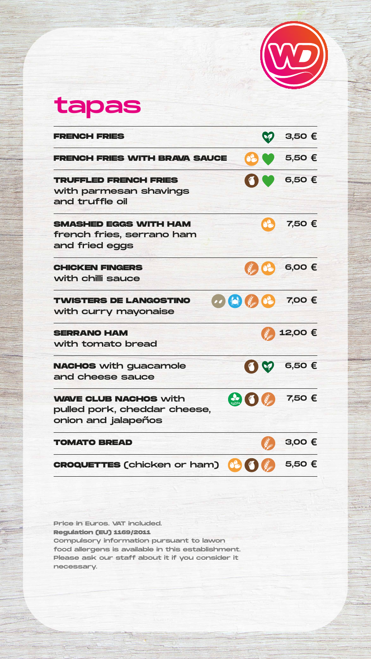tapas

**TRUFFLED FRENCH FRIES**

with parmesan shavings and truffle oil

6,50 €

**SMASHED EGGS WITH HAM** french fries, serrano ham and fried eggs

#### **CHICKEN FINGERS** with chilli sauce

7,50 €



**FRENCH FRIES** 3,50 €

**FRENCH FRIES WITH BRAVA SAUCE 66 € 5,50 €** 



necessary.

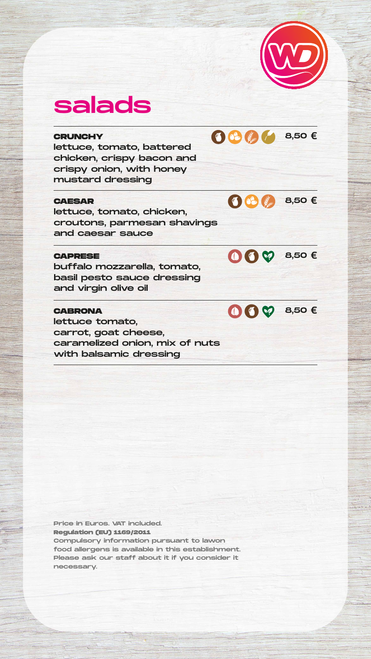Price in Euros. VAT included. **Regulation (EU) 1169/2011**

Compulsory information pursuant to lawon food allergens is available in this establishment. Please ask our staff about it if you consider it necessary.





## salads

#### **CRUNCHY**

lettuce, tomato, battered chicken, crispy bacon and crispy onion, with honey mustard dressing



### **CABRONA** lettuce tomato, carrot, goat cheese, caramelized onion, mix of nuts with balsamic dressing

#### **CAESAR**

lettuce, tomato, chicken, croutons, parmesan shavings and caesar sauce



#### **CAPRESE**

buffalo mozzarella, tomato, basil pesto sauce dressing and virgin olive oil



62 8,50 €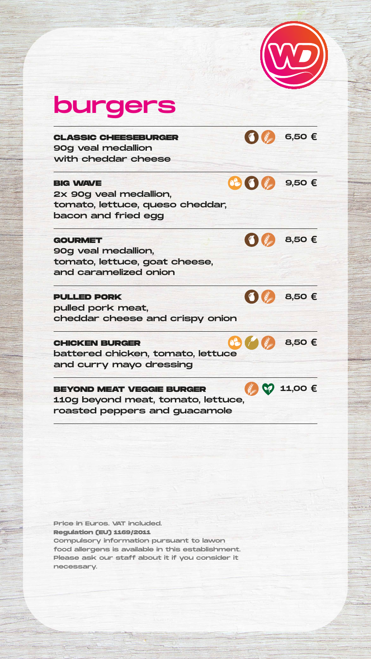Price in Euros. VAT included. **Regulation (EU) 1169/2011**

Compulsory information pursuant to lawon food allergens is available in this establishment. Please ask our staff about it if you consider it necessary.



# burgers

**CLASSIC CHEESEBURGER** 90g veal medallion with cheddar cheese

![](_page_2_Picture_0.jpeg)

6,50 €

#### **BIG WAVE**

2x 90g veal medallion, tomato, lettuce, queso cheddar, bacon and fried egg

9,50 €

#### **GOURMET**

90g veal medallion, tomato, lettuce, goat cheese, and caramelized onion

![](_page_2_Picture_7.jpeg)

![](_page_2_Picture_8.jpeg)

#### **PULLED PORK**

pulled pork meat, cheddar cheese and crispy onion

![](_page_2_Picture_9.jpeg)

#### **CHICKEN BURGER**

battered chicken, tomato, lettuce and curry mayo dressing

8,50 €

#### **BEYOND MEAT VEGGIE BURGER**

110g beyond meat, tomato, lettuce, roasted peppers and guacamole

![](_page_2_Picture_15.jpeg)